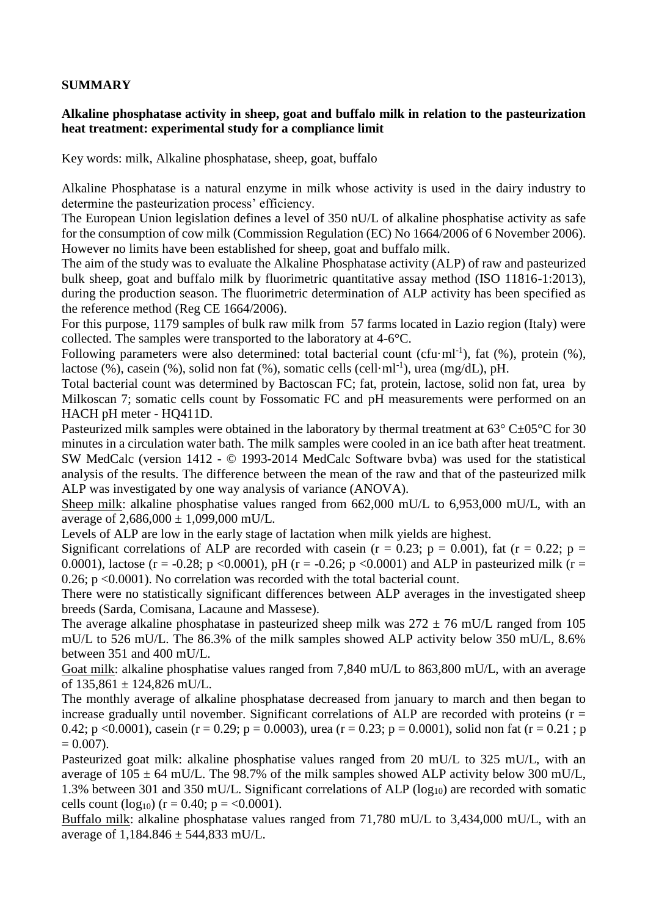## **SUMMARY**

## **Alkaline phosphatase activity in sheep, goat and buffalo milk in relation to the pasteurization heat treatment: experimental study for a compliance limit**

Key words: milk, Alkaline phosphatase, sheep, goat, buffalo

Alkaline Phosphatase is a natural enzyme in milk whose activity is used in the dairy industry to determine the pasteurization process' efficiency.

The European Union legislation defines a level of 350 nU/L of alkaline phosphatise activity as safe for the consumption of cow milk (Commission Regulation (EC) No 1664/2006 of 6 November 2006). However no limits have been established for sheep, goat and buffalo milk.

The aim of the study was to evaluate the Alkaline Phosphatase activity (ALP) of raw and pasteurized bulk sheep, goat and buffalo milk by fluorimetric quantitative assay method (ISO 11816-1:2013), during the production season. The fluorimetric determination of ALP activity has been specified as the reference method (Reg CE 1664/2006).

For this purpose, 1179 samples of bulk raw milk from 57 farms located in Lazio region (Italy) were collected. The samples were transported to the laboratory at 4-6°C.

Following parameters were also determined: total bacterial count (cfu·ml<sup>-1</sup>), fat  $(\%)$ , protein  $(\%)$ , lactose (%), casein (%), solid non fat (%), somatic cells (cell·ml<sup>-1</sup>), urea (mg/dL), pH.

Total bacterial count was determined by Bactoscan FC; fat, protein, lactose, solid non fat, urea by Milkoscan 7; somatic cells count by Fossomatic FC and pH measurements were performed on an HACH pH meter - HQ411D.

Pasteurized milk samples were obtained in the laboratory by thermal treatment at 63° C±05°C for 30 minutes in a circulation water bath. The milk samples were cooled in an ice bath after heat treatment. SW MedCalc (version 1412 - © 1993-2014 MedCalc Software bvba) was used for the statistical analysis of the results. The difference between the mean of the raw and that of the pasteurized milk ALP was investigated by one way analysis of variance (ANOVA).

Sheep milk: alkaline phosphatise values ranged from 662,000 mU/L to 6,953,000 mU/L, with an average of  $2,686,000 \pm 1,099,000$  mU/L.

Levels of ALP are low in the early stage of lactation when milk yields are highest.

Significant correlations of ALP are recorded with casein ( $r = 0.23$ ;  $p = 0.001$ ), fat ( $r = 0.22$ ;  $p =$ 0.0001), lactose (r = -0.28; p <0.0001), pH (r = -0.26; p <0.0001) and ALP in pasteurized milk (r = 0.26; p <0.0001). No correlation was recorded with the total bacterial count.

There were no statistically significant differences between ALP averages in the investigated sheep breeds (Sarda, Comisana, Lacaune and Massese).

The average alkaline phosphatase in pasteurized sheep milk was  $272 \pm 76$  mU/L ranged from 105 mU/L to 526 mU/L. The 86.3% of the milk samples showed ALP activity below 350 mU/L, 8.6% between 351 and 400 mU/L.

Goat milk: alkaline phosphatise values ranged from 7,840 mU/L to 863,800 mU/L, with an average of  $135,861 \pm 124,826$  mU/L.

The monthly average of alkaline phosphatase decreased from january to march and then began to increase gradually until november. Significant correlations of ALP are recorded with proteins  $(r =$ 0.42; p <0.0001), casein (r = 0.29; p = 0.0003), urea (r = 0.23; p = 0.0001), solid non fat (r = 0.21; p  $= 0.007$ ).

Pasteurized goat milk: alkaline phosphatise values ranged from 20 mU/L to 325 mU/L, with an average of  $105 \pm 64$  mU/L. The 98.7% of the milk samples showed ALP activity below 300 mU/L, 1.3% between 301 and 350 mU/L. Significant correlations of ALP ( $log_{10}$ ) are recorded with somatic cells count  $(log_{10})$  (r = 0.40; p = <0.0001).

Buffalo milk: alkaline phosphatase values ranged from 71,780 mU/L to 3,434,000 mU/L, with an average of  $1,184.846 \pm 544,833$  mU/L.